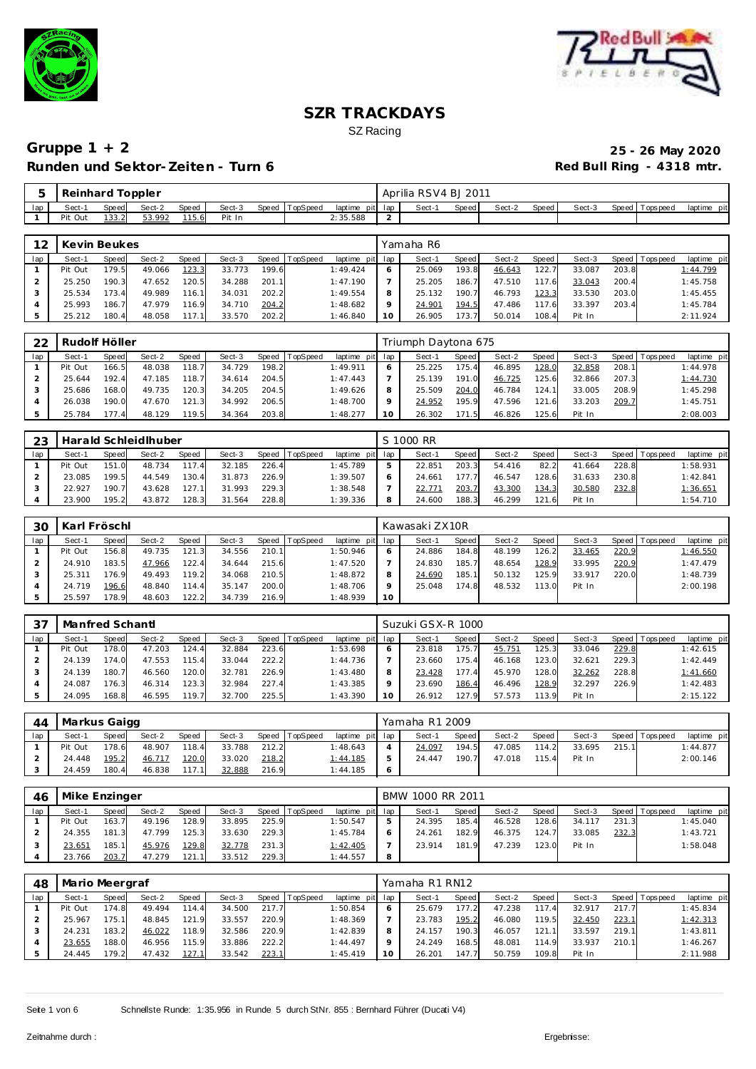



|     | Reinhard |              | Toppler |       |        |       |          |          |     |             | Aprilia RSV4 BJ 2011 |              |        |       |        |       |           |             |
|-----|----------|--------------|---------|-------|--------|-------|----------|----------|-----|-------------|----------------------|--------------|--------|-------|--------|-------|-----------|-------------|
| lap | Sect-    | <b>Speed</b> | Sect-2  | Speed | Sect-3 | Speed | TopSpeed | laptime  | pit | lap         | Sect-                | <b>Speed</b> | Sect-2 | Speed | Sect-3 | Speed | Tops peed | laptime pit |
|     | Pit Out  | 133.2        | 53.992  | 115.6 | Pit In |       |          | 2:35.588 |     | $\sim$<br>- |                      |              |        |       |        |       |           |             |

| 12  | Kevin Beukes |       |        |       |        |       |                |                 |         | Yamaha R6 |       |        |       |        |       |                 |             |
|-----|--------------|-------|--------|-------|--------|-------|----------------|-----------------|---------|-----------|-------|--------|-------|--------|-------|-----------------|-------------|
| lap | Sect-1       | Speed | Sect-2 | Speed | Sect-3 |       | Speed TopSpeed | laptime pit lap |         | Sect-1    | Speed | Sect-2 | Speed | Sect-3 |       | Speed Tops peed | laptime pit |
|     | Pit Out      | 179.5 | 49.066 | 123.3 | 33.773 | 199.6 |                | 1:49.424        |         | 25.069    | 193.8 | 46.643 | 122.7 | 33.087 | 203.8 |                 | 1:44.799    |
|     | 25.250       | 190.3 | 47.652 | 120.5 | 34.288 | 201.1 |                | 1:47.190        |         | 25.205    | 186.7 | 47.510 | 117.6 | 33.043 | 200.4 |                 | 1:45.758    |
|     | 25.534       | 173.4 | 49.989 | 116.1 | 34.031 | 202.2 |                | 1:49.554        | 8       | 25.132    | 190.7 | 46.793 | 123.3 | 33.530 | 203.0 |                 | 1:45.455    |
|     | 25.993       | 186.7 | 47.979 | 116.9 | 34.710 | 204.2 |                | 1:48.682        | $\circ$ | 24.901    | 194.5 | 47.486 | 117.6 | 33.397 | 203.4 |                 | 1:45.784    |
|     | 25.212       | 180.4 | 48.058 | 117.1 | 33.570 | 202.2 |                | 1:46.840        | 10      | 26.905    | 173.7 | 50.014 | 108.4 | Pit In |       |                 | 2:11.924    |

| 22  | Rudolf Höller |              |        |       |        |       |                  |                 |    | Triumph Daytona 675 |       |        |       |        |       |                |             |
|-----|---------------|--------------|--------|-------|--------|-------|------------------|-----------------|----|---------------------|-------|--------|-------|--------|-------|----------------|-------------|
| lap | Sect-1        | <b>Speed</b> | Sect-2 | Speed | Sect-3 |       | Speed   TopSpeed | laptime pit lap |    | Sect-1              | Speed | Sect-2 | Speed | Sect-3 |       | Speed Topspeed | laptime pit |
|     | Pit Out       | 166.5        | 48.038 | 118.7 | 34.729 | 198.2 |                  | 1:49.911        |    | 25.225              | 175.4 | 46.895 | 128.0 | 32.858 | 208.1 |                | 1:44.978    |
|     | 25.644        | 192.4        | 47.185 | 118.7 | 34.614 | 204.5 |                  | 1:47.443        |    | 25.139              | 191.0 | 46.725 | 125.6 | 32.866 | 207.3 |                | 1:44.730    |
|     | 25.686        | 168.0        | 49.735 | 120.3 | 34.205 | 204.5 |                  | 1:49.626        |    | 25.509              | 204.0 | 46.784 | 124.1 | 33.005 | 208.9 |                | 1:45.298    |
|     | 26.038        | 190.0        | 47.670 | 121.3 | 34.992 | 206.5 |                  | 1:48.700        |    | 24.952              | 195.9 | 47.596 | 121.6 | 33.203 | 209.7 |                | 1:45.751    |
|     | 25.784        | 177.4        | 48.129 | 119.5 | 34.364 | 203.8 |                  | 1:48.277        | 10 | 26.302              | 171.5 | 46.826 | 125.6 | Pit In |       |                | 2:08.003    |

| 23  |         |       | Harald Schleidlhuber |              |        |       |                |                 | S 1000 RR |       |        |       |            |       |                |             |
|-----|---------|-------|----------------------|--------------|--------|-------|----------------|-----------------|-----------|-------|--------|-------|------------|-------|----------------|-------------|
| lap | Sect-1  | Speed | Sect-2               | <b>Speed</b> | Sect-3 |       | Speed TopSpeed | laptime pit lap | Sect-1    | Speed | Sect-2 | Speed | Sect-3     |       | Speed Topspeed | laptime pit |
|     | Pit Out | 151.0 | 48.734               | 117.4        | 32.185 | 226.4 |                | 1:45.789        | 22.85     | 203.3 | 54.416 | 82.2  | .664<br>41 | 228.8 |                | 1:58.931    |
|     | 23.085  | 199.5 | 44.549               | 130.4        | 31.873 | 226.9 |                | 1:39.507        | 24.661    | 177.7 | 46.547 | 128.6 | 31.633     | 230.8 |                | 1:42.841    |
|     | 22.927  | 190.7 | 43.628               | 127.1        | 31.993 | 229.3 |                | 1:38.548        | 22.771    | 203.7 | 43.300 | 134.3 | 30.580     | 232.8 |                | 1:36.651    |
|     | 23.900  | 195.2 | 43.872               | 128.3        | 31.564 | 228.8 |                | 1:39.336        | 24.600    | 188.3 | 46.299 | 121.6 | Pit In     |       |                | 1:54.710    |

| 30  | Karl Fröschl |       |        |       |        |       |          |             |     | Kawasaki ZX10R |       |        |       |        |       |                 |             |
|-----|--------------|-------|--------|-------|--------|-------|----------|-------------|-----|----------------|-------|--------|-------|--------|-------|-----------------|-------------|
| lap | Sect-1       | Speed | Sect-2 | Speed | Sect-3 | Speed | TopSpeed | laptime pit | lap | Sect-1         | Speed | Sect-2 | Speed | Sect-3 |       | Speed Tops peed | laptime pit |
|     | Pit Out      | 156.8 | 49.735 | 121.3 | 34.556 | 210.1 |          | 1:50.946    |     | 24.886         | 184.8 | 48.199 | 126.2 | 33.465 | 220.9 |                 | 1:46.550    |
|     | 24.910       | 183.5 | 47.966 | 122.4 | 34.644 | 215.6 |          | 1:47.520    |     | 24.830         | 185.7 | 48.654 | 128.9 | 33.995 | 220.9 |                 | 1:47.479    |
|     | 25.311       | 176.9 | 49.493 | 119.2 | 34.068 | 210.5 |          | 1:48.872    |     | 24.690         | 185.1 | 50.132 | 125.9 | 33.917 | 220.0 |                 | 1:48.739    |
|     | 24.719       | 196.6 | 48.840 | 114.4 | 35.147 | 200.0 |          | 1:48.706    |     | 25.048         | 174.8 | 48.532 | 113.0 | Pit In |       |                 | 2:00.198    |
|     | 25.597       | 178.9 | 48.603 | 122.2 | 34.739 | 216.9 |          | 1:48.939    | 10  |                |       |        |       |        |       |                 |             |

| -37 | Manfred Schantl |       |        |       |        |       |                |                 |    | Suzuki GSX-R 1000 |       |        |       |        |       |                |             |
|-----|-----------------|-------|--------|-------|--------|-------|----------------|-----------------|----|-------------------|-------|--------|-------|--------|-------|----------------|-------------|
| lap | Sect-1          | Speed | Sect-2 | Speed | Sect-3 |       | Speed TopSpeed | laptime pit lap |    | Sect-1            | Speed | Sect-2 | Speed | Sect-3 |       | Speed Topspeed | laptime pit |
|     | Pit Out         | 178.0 | 47.203 | 124.4 | 32.884 | 223.6 |                | 1:53.698        |    | 23.818            | 175.7 | 45.751 | 125.3 | 33.046 | 229.8 |                | 1:42.615    |
|     | 24.139          | 174.0 | 47.553 | 115.4 | 33.044 | 222.2 |                | 1:44.736        |    | 23.660            | 175.4 | 46.168 | 123.0 | 32.621 | 229.3 |                | 1:42.449    |
|     | 24.139          | 180.7 | 46.560 | 120.0 | 32.781 | 226.9 |                | 1:43.480        |    | 23.428            | 177.4 | 45.970 | 128.0 | 32.262 | 228.8 |                | 1:41.660    |
|     | 24.087          | 176.3 | 46.314 | 123.3 | 32.984 | 227.4 |                | 1:43.385        |    | 23.690            | 186.4 | 46.496 | 128.9 | 32.297 | 226.9 |                | 1:42.483    |
|     | 24.095          | 168.8 | 46.595 | 119.7 | 32.700 | 225.5 |                | 1:43.390        | 10 | 26.912            | 127.9 | 57.573 | 113.9 | Pit In |       |                | 2:15.122    |

| 44  | Markus Gaigg |       |        |       |        |       |                |                 |                | Yamaha R1 2009 |       |        |       |        |       |                 |             |
|-----|--------------|-------|--------|-------|--------|-------|----------------|-----------------|----------------|----------------|-------|--------|-------|--------|-------|-----------------|-------------|
| lap | Sect-1       | Speed | Sect-2 | Speed | Sect-3 |       | Speed TopSpeed | laptime pit lap |                | Sect-1         | Speed | Sect-2 | Speed | Sect-3 |       | Speed Tops peed | laptime pit |
|     | Pit Out      | 178.6 | 48.907 | 118.4 | 33.788 | 212.2 |                | 1:48.643        |                | 24.097         | 194.5 | 47.085 | 114.2 | 33.695 | 215.1 |                 | 1:44.877    |
|     | 24.448       | 195.2 | 46.717 | 120.0 | 33.020 | 218.2 |                | 1:44.185        | ь              | 24.447         | 190.7 | 47.018 | 115.4 | Pit In |       |                 | 2:00.146    |
|     | 24.459       | 180.4 | 46.838 | 117.1 | 32.888 | 216.9 |                | 1:44.185        | $\ddot{\circ}$ |                |       |        |       |        |       |                 |             |

| 46  |         | Mike Enzinger<br>Speed<br>Speed TopSpeed<br>Sect-2<br>Sect-3<br><b>Speed</b><br>128.9<br>163.7<br>49.196<br>225.9<br>33.895<br>229.3<br>181.3<br>47.799<br>125.3<br>33.630 |        |       |        |       |  | BMW 1000 RR 2011 |        |       |        |       |        |       |                 |             |
|-----|---------|----------------------------------------------------------------------------------------------------------------------------------------------------------------------------|--------|-------|--------|-------|--|------------------|--------|-------|--------|-------|--------|-------|-----------------|-------------|
| lap | Sect-1  |                                                                                                                                                                            |        |       |        |       |  | laptime pit lap  | Sect-1 | Speed | Sect-2 | Speed | Sect-3 |       | Speed Tops peed | laptime pit |
|     | Pit Out |                                                                                                                                                                            |        |       |        |       |  | 1:50.547         | 24.395 | 185.4 | 46.528 | 128.6 | 34.117 | 231.3 |                 | 1:45.040    |
|     | 24.355  |                                                                                                                                                                            |        |       |        |       |  | 1:45.784         | 24.261 | 182.9 | 46.375 | 124.7 | 33.085 | 232.3 |                 | 1:43.721    |
|     | 23.651  | 185.1                                                                                                                                                                      | 45.976 | 129.8 | 32.778 | 231.3 |  | 1:42.405         | 23.914 | 181.9 | 47.239 | 123.0 | Pit In |       |                 | 1:58.048    |
|     | 23.766  | 203.7                                                                                                                                                                      | 47.279 | 121.1 | 33.512 | 229.3 |  | 1:44.557         |        |       |        |       |        |       |                 |             |

| 48  | Mario Meergraf |       |        |       |        |       |                |             |     | Yamaha R1 RN12 |                    |        |                 |        |       |                   |             |
|-----|----------------|-------|--------|-------|--------|-------|----------------|-------------|-----|----------------|--------------------|--------|-----------------|--------|-------|-------------------|-------------|
| lap | Sect-1         | Speed | Sect-2 | Speed | Sect-3 |       | Speed TopSpeed | laptime pit | lap | Sect-1         | <b>Speed</b>       | Sect-2 | Speed           | Sect-3 |       | Speed   Tops peed | laptime pit |
|     | Pit Out        | 1748  | 49.494 | 114.4 | 34.500 | 217.7 |                | 1:50.854    | 6   | 25.679         | 177.2 <sub>1</sub> | 47.238 | 117<br>$\Delta$ | 32.917 | 217.7 |                   | 1:45.834    |
|     | 25.967         | 175.1 | 48.845 | 121.9 | 33.557 | 220.9 |                | 1:48.369    |     | 23.783         | 195.2              | 46.080 | 119.5           | 32.450 | 223.1 |                   | 1:42.313    |
|     | 24.231         | 183.2 | 46.022 | 118.9 | 32.586 | 220.9 |                | 1:42.839    | 8   | 24.157         | 190.3              | 46.057 | 121.1           | 33.597 | 219.1 |                   | 1:43.811    |
|     | 23.655         | 188.0 | 46.956 | 115.9 | 33.886 | 222.2 |                | 1:44.497    | o   | 24.249         | 168.5              | 48.081 | 114.9           | 33.937 | 210.1 |                   | 1:46.267    |
|     | 24.445         | 179.2 | 47.432 | 127.1 | 33.542 | 223.1 |                | 1:45.419    | 10  | 26.201         | 147.7              | 50.759 | 109.8           | Pit In |       |                   | 2:11.988    |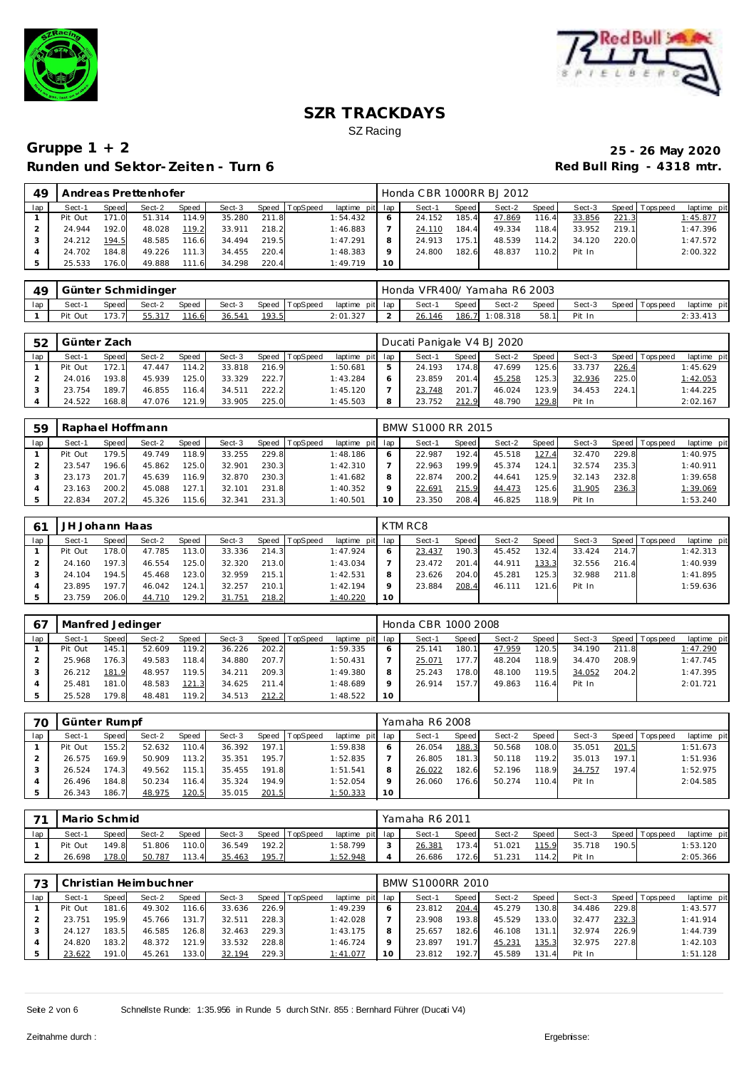



| 49  |         |       | Andreas Prettenhofer |       |        |       |                |                 |         | Honda CBR 1000RR BJ 2012 |       |        |       |        |       |                |             |
|-----|---------|-------|----------------------|-------|--------|-------|----------------|-----------------|---------|--------------------------|-------|--------|-------|--------|-------|----------------|-------------|
| lap | Sect-1  | Speed | Sect-2               | Speed | Sect-3 |       | Speed TopSpeed | laptime pit lap |         | Sect-1                   | Speed | Sect-2 | Speed | Sect-3 |       | Speed Topspeed | laptime pit |
|     | Pit Out | 171.0 | 51.314               | 114.9 | 35.280 | 211.8 |                | 1:54.432        |         | 24.152                   | 185.4 | 47.869 | 116.4 | 33.856 | 221.3 |                | 1:45.877    |
|     | 24.944  | 192.0 | 48.028               | 119.2 | 33.911 | 218.2 |                | 1:46.883        |         | 24.110                   | 184.4 | 49.334 | 118.4 | 33.952 | 219.1 |                | 1:47.396    |
|     | 24.212  | 194.5 | 48.585               | 116.6 | 34.494 | 219.5 |                | 1:47.291        | 8       | 24.913                   | 175.1 | 48.539 | 114.2 | 34.120 | 220.0 |                | 1:47.572    |
|     | 24.702  | 184.8 | 49.226               | 111.3 | 34.455 | 220.4 |                | 1:48.383        | $\circ$ | 24.800                   | 182.6 | 48.837 | 110.2 | Pit In |       |                | 2:00.322    |
|     | 25.533  | 176.0 | 49.888               | 111.6 | 34.298 | 220.4 |                | 1:49.719        | 10      |                          |       |        |       |        |       |                |             |

| 49  |                                                                |       | Günter Schmidinger |       |        |       |                 |          | Honda VFR400/ Yamaha R6 2003 |        |          |        |                 |             |  |
|-----|----------------------------------------------------------------|-------|--------------------|-------|--------|-------|-----------------|----------|------------------------------|--------|----------|--------|-----------------|-------------|--|
| lap | Speed TopSpeed<br>Speed<br>Sect-3<br>Sect-2<br>Speed<br>Sect-1 |       |                    |       |        |       | laptime pit lap | Sect-1   | Speed                        | Sect-2 | Speed,   | Sect-3 | Speed Tops peed | laptime pit |  |
|     | Pit Out                                                        | 173.7 |                    | 116.6 | 36.541 | 193.5 |                 | 2:01.327 | 26.146                       | 186.7  | 1:08.318 | 58.1   | Pit In          |             |  |

| 52  | Günter Zach |       |        |       |        |       |                |                 |   | Ducati Panigale V4 BJ 2020 |       |        |       |        |       |                 |             |
|-----|-------------|-------|--------|-------|--------|-------|----------------|-----------------|---|----------------------------|-------|--------|-------|--------|-------|-----------------|-------------|
| lap | Sect-1      | Speed | Sect-2 | Speed | Sect-3 |       | Speed TopSpeed | laptime pit lap |   | Sect-1                     | Speed | Sect-2 | Speed | Sect-3 |       | Speed Tops peed | laptime pit |
|     | Pit Out     | 172.1 | 47.447 | 114.2 | 33.818 | 216.9 |                | 1:50.681        | 5 | 24.193                     | 174.8 | 47.699 | 125.6 | 33.737 | 226.4 |                 | 1:45.629    |
|     | 24.016      | 193.8 | 45.939 | 125.0 | 33.329 | 222.7 |                | 1:43.284        |   | 23.859                     | 201.4 | 45.258 | 125.3 | 32.936 | 225.0 |                 | 1:42.053    |
|     | 23.754      | 189.7 | 46.855 | 116.4 | 34.511 | 222.2 |                | 1:45.120        |   | 23.748                     | 201.7 | 46.024 | 123.9 | 34.453 | 224.1 |                 | 1:44.225    |
|     | 24.522      | 168.8 | 47.076 | 121.9 | 33.905 | 225.0 |                | 1:45.503        | 8 | 23.752                     | 212.9 | 48.790 | 129.8 | Pit In |       |                 | 2:02.167    |

| 59  |         |       | Raphael Hoffmann |       |        |       |                 |             |     | BMW S1000 RR 2015 |       |        |        |        |       |            |             |
|-----|---------|-------|------------------|-------|--------|-------|-----------------|-------------|-----|-------------------|-------|--------|--------|--------|-------|------------|-------------|
| lap | Sect-1  | Speed | Sect-2           | Speed | Sect-3 | Speed | <b>TopSpeed</b> | laptime pit | lap | Sect-1            | Speed | Sect-2 | Speed  | Sect-3 | Speed | Tops pee d | laptime pit |
|     | Pit Out | 179.5 | 49.749           | 118.9 | 33.255 | 229.8 |                 | I:48.186    |     | 22.987            | 192.4 | 45.518 | 127.4  | 32.470 | 229.8 |            | 1:40.975    |
|     | 23.547  | 196.6 | 45.862           | 125.0 | 32.901 | 230.3 |                 | 1:42.310    |     | 22.963            | 199.9 | 45.374 | 124.1  | 32.574 | 235.3 |            | 1:40.911    |
|     | 23.173  | 201.7 | 45.639           | 116.9 | 32.870 | 230.3 |                 | 1:41.682    |     | 22.874            | 200.2 | 44.641 | 125.9  | 32.143 | 232.8 |            | 1:39.658    |
|     | 23.163  | 200.2 | 45.088           | 127.1 | 32.101 | 231.8 |                 | 1:40.352    |     | 22.69'            | 215.9 | 44.473 | i 25.6 | 31.905 | 236.3 |            | 1:39.069    |
|     | 22.834  | 207.2 | 45.326           | 115.6 | 32.341 | 231.3 |                 | 1:40.501    |     | 23.350            | 208.4 | 46.825 | 118.9  | Pit In |       |            | 1:53.240    |

|     | JH Johann Haas |       |        |       |        |       |                  |                 |    | KTM RC8 |         |        |       |        |       |                |             |
|-----|----------------|-------|--------|-------|--------|-------|------------------|-----------------|----|---------|---------|--------|-------|--------|-------|----------------|-------------|
| lap | Sect-1         | Speed | Sect-2 | Speed | Sect-3 |       | Speed   TopSpeed | laptime pit lap |    | Sect-1  | Speed I | Sect-2 | Speed | Sect-3 |       | Speed Topspeed | laptime pit |
|     | Pit Out        | 178.0 | 47.785 | 113.0 | 33.336 | 214.3 |                  | 1:47.924        |    | 23.437  | 190.3   | 45.452 | 132.4 | 33.424 | 214.7 |                | 1:42.313    |
|     | 24.160         | 197.3 | 46.554 | 125.0 | 32.320 | 213.0 |                  | 1:43.034        |    | 23.472  | 201.4   | 44.911 | 133.3 | 32.556 | 216.4 |                | 1:40.939    |
|     | 24.104         | 194.5 | 45.468 | 123.0 | 32.959 | 215.1 |                  | 1:42.531        |    | 23.626  | 204.0   | 45.281 | 125.3 | 32.988 | 211.8 |                | 1:41.895    |
|     | 23.895         | 197.7 | 46.042 | 124.1 | 32.257 | 210.1 |                  | 1:42.194        |    | 23.884  | 208.4   | 46.111 | 121.6 | Pit In |       |                | 1:59.636    |
|     | 23.759         | 206.0 | 44.710 | 129.2 | 31.751 | 218.2 |                  | 1:40.220        | 10 |         |         |        |       |        |       |                |             |

| 67  | Manfred Jedinger |       |        |       |        |       |          |                 |    | Honda CBR 1000 2008 |         |        |       |        |       |                 |             |
|-----|------------------|-------|--------|-------|--------|-------|----------|-----------------|----|---------------------|---------|--------|-------|--------|-------|-----------------|-------------|
| lap | Sect-1           | Speed | Sect-2 | Speed | Sect-3 | Speed | TopSpeed | laptime pit lap |    | Sect-1              | Speed I | Sect-2 | Speed | Sect-3 |       | Speed Tops peed | laptime pit |
|     | Pit Out          | 145.1 | 52.609 | 119.2 | 36.226 | 202.2 |          | 1:59.335        |    | 25.141              | 180.1   | 47.959 | 120.5 | 34.190 | 211.8 |                 | 1:47.290    |
|     | 25.968           | 176.3 | 49.583 | 118.4 | 34.880 | 207.7 |          | 1:50.431        |    | 25.071              | 177.7   | 48.204 | 118.9 | 34.470 | 208.9 |                 | 1:47.745    |
|     | 26.212           | 181.9 | 48.957 | 119.5 | 34.211 | 209.3 |          | 1:49.380        |    | 25.243              | 178.0   | 48.100 | 119.5 | 34.052 | 204.2 |                 | 1:47.395    |
|     | 25.481           | 181.0 | 48.583 | 121.3 | 34.625 | 211.4 |          | 1:48.689        |    | 26.914              | 157.7   | 49.863 | 116.4 | Pit In |       |                 | 2:01.721    |
|     | 25.528           | 179.8 | 48.481 | 119.2 | 34.513 | 212.2 |          | 1:48.522        | 10 |                     |         |        |       |        |       |                 |             |

| 70  |         | Günter Rumpf<br>Speed TopSpeed<br>Sect-3<br>Sect-2<br>Speed<br>Speed<br>110.4<br>197.1<br>155.2<br>52.632<br>36.392<br>195.7<br>169.9<br>50.909<br>113.2<br>35.351 |        |       |        |       |  |                 |         | Yamaha R6 2008 |       |        |       |        |       |                 |             |
|-----|---------|--------------------------------------------------------------------------------------------------------------------------------------------------------------------|--------|-------|--------|-------|--|-----------------|---------|----------------|-------|--------|-------|--------|-------|-----------------|-------------|
| lap | Sect-1  |                                                                                                                                                                    |        |       |        |       |  | laptime pit lap |         | Sect-1         | Speed | Sect-2 | Speed | Sect-3 |       | Speed Tops peed | laptime pit |
|     | Pit Out |                                                                                                                                                                    |        |       |        |       |  | 1:59.838        |         | 26.054         | 188.3 | 50.568 | 108.0 | 35.051 | 201.5 |                 | 1:51.673    |
|     | 26.575  |                                                                                                                                                                    |        |       |        |       |  | 1:52.835        |         | 26.805         | 181.3 | 50.118 | 119.2 | 35.013 | 197.1 |                 | 1:51.936    |
|     | 26.524  | 174.3                                                                                                                                                              | 49.562 | 115.1 | 35.455 | 191.8 |  | 1:51.541        | 8       | 26.022         | 182.6 | 52.196 | 118.9 | 34.757 | 197.4 |                 | 1:52.975    |
|     | 26.496  | 184.8                                                                                                                                                              | 50.234 | 116.4 | 35.324 | 194.9 |  | 1:52.054        | $\circ$ | 26.060         | 176.6 | 50.274 | 110.4 | Pit In |       |                 | 2:04.585    |
|     | 26.343  | 186.7                                                                                                                                                              | 48.975 | 120.5 | 35.015 | 201.5 |  | 1:50.333        | 10      |                |       |        |       |        |       |                 |             |

| $\overline{\phantom{a}}$ | Mario Schmid |                                                                                       |        |       |        |       |  |          |              | Yamaha R6 2011 |       |        |       |        |       |                   |             |
|--------------------------|--------------|---------------------------------------------------------------------------------------|--------|-------|--------|-------|--|----------|--------------|----------------|-------|--------|-------|--------|-------|-------------------|-------------|
| lap                      | Sect-1       | Speed TopSpeed<br>Sect-3<br>Sect-2<br><b>Speed</b><br>laptime pit lap<br><b>Speed</b> |        |       |        |       |  |          |              | Sect-1         | Speed | Sect-2 | Speed | Sect-3 |       | Speed   Tops peed | laptime pit |
|                          | Pit Out      | 49.8                                                                                  | 51.806 | 110.0 | 36.549 | 192.2 |  | 1:58.799 | $\sim$       | 26.381         | 173.4 | 51.021 | 115.9 | 35.718 | 190.5 |                   | 1:53.120    |
| ∸                        | 26.698       | 178.0                                                                                 | 50.787 | 113.4 | 35.463 | 195.7 |  | 1:52.948 | $\leftarrow$ | 26.686         | 172.6 | 51.231 | 114.2 | Pit In |       |                   | 2:05.366    |

|     |         |       | Christian Heimbuchner |       |        |       |                |                 |    | <b>BMW S1000RR 2010</b> |              |        |                        |        |       |                |             |
|-----|---------|-------|-----------------------|-------|--------|-------|----------------|-----------------|----|-------------------------|--------------|--------|------------------------|--------|-------|----------------|-------------|
| lap | Sect-1  | Speed | Sect-2                | Speed | Sect-3 |       | Speed TopSpeed | laptime pit lap |    | Sect-1                  | <b>Speed</b> | Sect-2 | Speed                  | Sect-3 |       | Speed Topspeed | laptime pit |
|     | Pit Out | 181.6 | 49.302                | 116.6 | 33.636 | 226.9 |                | 1:49.239        | O  | 23.812                  | 204.4        | 45.279 | 130.8                  | 34.486 | 229.8 |                | 1:43.577    |
|     | 23.751  | 195.9 | 45.766                | 131.7 | 32.511 | 228.3 |                | 1:42.028        |    | 23.908                  | 193.8        | 45.529 | 133.0                  | 32.477 | 232.3 |                | 1:41.914    |
|     | 24.127  | 183.5 | 46.585                | 126.8 | 32.463 | 229.3 |                | 1:43.175        | 8  | 25.657                  | 182.6        | 46.108 | 131.                   | 32.974 | 226.9 |                | 1:44.739    |
|     | 24.820  | 183.2 | 48.372                | 121.9 | 33.532 | 228.8 |                | 1:46.724        |    | 23.897                  | 191.7        | 45.231 | 135.3                  | 32.975 | 227.8 |                | 1:42.103    |
|     | 23.622  | 191.0 | 45.261                | 133.0 | 32.194 | 229.3 |                | 1:41.077        | 10 | 23.812                  | 192.7        | 45.589 | 131.<br>$\overline{4}$ | Pit In |       |                | 1:51.128    |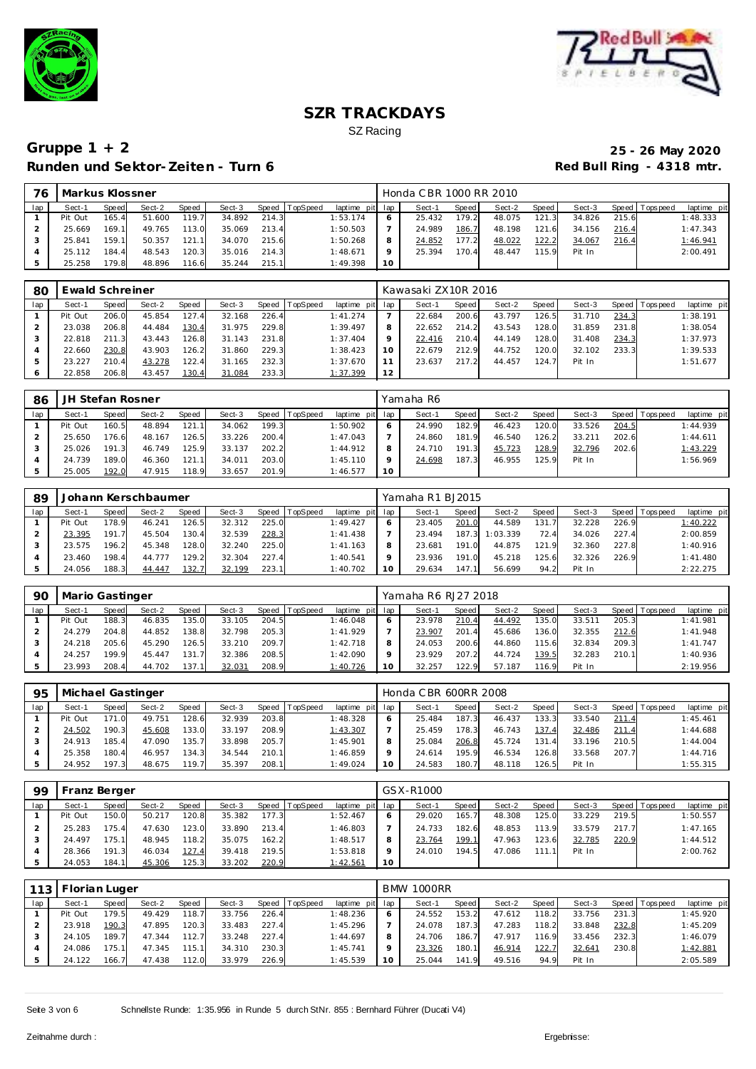



| 76  | Markus Klossner |       |        |       |        |       |                |                 |    | Honda CBR 1000 RR 2010 |       |        |       |        |       |                   |             |
|-----|-----------------|-------|--------|-------|--------|-------|----------------|-----------------|----|------------------------|-------|--------|-------|--------|-------|-------------------|-------------|
| lap | Sect-1          | Speed | Sect-2 | Speed | Sect-3 |       | Speed TopSpeed | laptime pit lap |    | Sect-1                 | Speed | Sect-2 | Speed | Sect-3 |       | Speed   Tops peed | laptime pit |
|     | Pit Out         | 165.4 | 51.600 | 119.7 | 34.892 | 214.3 |                | 1:53.174        |    | 25.432                 | 179.2 | 48.075 | 121.3 | 34.826 | 215.6 |                   | 1:48.333    |
|     | 25.669          | 169.1 | 49.765 | 113.0 | 35.069 | 213.4 |                | 1:50.503        |    | 24.989                 | 186.7 | 48.198 | 121.6 | 34.156 | 216.4 |                   | 1:47.343    |
|     | 25.841          | 159.1 | 50.357 | 121.1 | 34.070 | 215.6 |                | 1:50.268        | 8  | 24.852                 | 177.2 | 48.022 | 122.2 | 34.067 | 216.4 |                   | 1:46.941    |
|     | 25.112          | 184.4 | 48.543 | 120.3 | 35.016 | 214.3 |                | 1:48.671        |    | 25.394                 | 170.4 | 48.447 | 115.9 | Pit In |       |                   | 2:00.491    |
|     | 25.258          | 179.8 | 48.896 | 116.6 | 35.244 | 215.1 |                | 1:49.398        | 10 |                        |       |        |       |        |       |                   |             |

| 80  |         | Ewald Schreiner<br>Sect-2<br>Sect-3<br><b>TopSpeed</b><br>Speed<br>Speed<br>Speed   T<br>206.0<br>45.854<br>127.4<br>32.168<br>226.4<br>229.8<br>206.8<br>44.484<br>130.4<br>31.975<br>211.3<br>126.8<br>231.8<br>43.443<br>31.143 |        |       |        |       |  |                 |    | Kawasaki ZX10R 2016 |       |        |       |        |       |                |             |
|-----|---------|------------------------------------------------------------------------------------------------------------------------------------------------------------------------------------------------------------------------------------|--------|-------|--------|-------|--|-----------------|----|---------------------|-------|--------|-------|--------|-------|----------------|-------------|
| lap | Sect-1  |                                                                                                                                                                                                                                    |        |       |        |       |  | laptime pit lap |    | Sect-1              | Speed | Sect-2 | Speed | Sect-3 |       | Speed Topspeed | laptime pit |
|     | Pit Out |                                                                                                                                                                                                                                    |        |       |        |       |  | 1:41.274        |    | 22.684              | 200.6 | 43.797 | 126.5 | 31.710 | 234.3 |                | 1:38.191    |
|     | 23.038  |                                                                                                                                                                                                                                    |        |       |        |       |  | 1:39.497        | 8  | 22.652              | 214.2 | 43.543 | 128.0 | 31.859 | 231.8 |                | 1:38.054    |
|     | 22.818  |                                                                                                                                                                                                                                    |        |       |        |       |  | 1:37.404        |    | 22.416              | 210.4 | 44.149 | 128.0 | 31.408 | 234.3 |                | 1:37.973    |
|     | 22.660  | 230.8                                                                                                                                                                                                                              | 43.903 | 126.2 | 31.860 | 229.3 |  | 1:38.423        | 10 | 22.679              | 212.9 | 44.752 | 120.0 | 32.102 | 233.3 |                | 1:39.533    |
|     | 23.227  | 210.4                                                                                                                                                                                                                              | 43.278 | 122.4 | 31.165 | 232.3 |  | 1:37.670        |    | 23.637              | 217.2 | 44.457 | 124.7 | Pit In |       |                | 1:51.677    |
|     | 22.858  | 206.8                                                                                                                                                                                                                              | 43.457 | 130.4 | 31.084 | 233.3 |  | 1:37.399        | 12 |                     |       |        |       |        |       |                |             |

| -86 | JH Stefan Rosner |       |        |       |        |       |                  |             |         | Yamaha R6 |       |        |       |        |       |                   |             |
|-----|------------------|-------|--------|-------|--------|-------|------------------|-------------|---------|-----------|-------|--------|-------|--------|-------|-------------------|-------------|
| lap | Sect-1           | Speed | Sect-2 | Speed | Sect-3 |       | Speed   TopSpeed | laptime pit | lap     | Sect-1    | Speed | Sect-2 | Speed | Sect-3 |       | Speed   Tops peed | laptime pit |
|     | Pit Out          | 160.5 | 48.894 | 121.1 | 34.062 | 199.3 |                  | 1:50.902    | 6       | 24.990    | 182.9 | 46.423 | 120.0 | 33.526 | 204.5 |                   | 1:44.939    |
|     | 25.650           | 176.6 | 48.167 | 126.5 | 33.226 | 200.4 |                  | 1:47.043    |         | 24.860    | 181.9 | 46.540 | 126.2 | 33.211 | 202.6 |                   | 1:44.611    |
|     | 25.026           | 191.3 | 46.749 | 125.9 | 33.137 | 202.2 |                  | 1:44.912    | 8       | 24.710    | 191.3 | 45.723 | 128.9 | 32.796 | 202.6 |                   | 1:43.229    |
|     | 24.739           | 189.0 | 46.360 | 121.1 | 34.011 | 203.0 |                  | 1:45.110    | $\circ$ | 24.698    | 187.3 | 46.955 | 125.9 | Pit In |       |                   | 1:56.969    |
|     | 25.005           | 192.0 | 47.915 | 118.9 | 33.657 | 201.9 |                  | 1:46.577    | 10      |           |       |        |       |        |       |                   |             |

| 89  |         |       | Johann Kerschbaumer |       |        |       |                  |                 | Yamaha R1 BJ2015 |       |          |       |        |       |                |             |
|-----|---------|-------|---------------------|-------|--------|-------|------------------|-----------------|------------------|-------|----------|-------|--------|-------|----------------|-------------|
| lap | Sect-1  | Speed | Sect-2              | Speed | Sect-3 |       | Speed   TopSpeed | laptime pit lap | Sect-1           | Speed | Sect-2   | Speed | Sect-3 |       | Speed Topspeed | laptime pit |
|     | Pit Out | 178.9 | 46.241              | 126.5 | 32.312 | 225.0 |                  | 1:49.427        | 23.405           | 201.0 | 44.589   | 131.7 | 32.228 | 226.9 |                | 1:40.222    |
|     | 23.395  | 191.7 | 45.504              | 130.4 | 32.539 | 228.3 |                  | 1:41.438        | 23.494           | 187.3 | 1:03.339 | 72.4  | 34.026 | 227.4 |                | 2:00.859    |
|     | 23.575  | 196.2 | 45.348              | 128.0 | 32.240 | 225.0 |                  | 1:41.163        | 23.681           | 191.0 | 44.875   | 121.9 | 32.360 | 227.8 |                | 1:40.916    |
|     | 23.460  | 198.4 | 44.777              | 129.2 | 32.304 | 227.4 |                  | 1:40.541        | 23.936           | 191.0 | 45.218   | 125.6 | 32.326 | 226.9 |                | 1:41.480    |
|     | 24.056  | 188.3 | 44.447              | 132.7 | 32.199 | 223.1 |                  | 1:40.702        | 29.634           | 147.1 | 56.699   | 94.2  | Pit In |       |                | 2:22.275    |

| 90  | Mario Gastinger                                                                 |       |        |        |        |       |  |          |    | Yamaha R6 RJ27 2018 |       |        |       |        |       |                |             |
|-----|---------------------------------------------------------------------------------|-------|--------|--------|--------|-------|--|----------|----|---------------------|-------|--------|-------|--------|-------|----------------|-------------|
| lap | Sect-2<br>Speed   TopSpeed<br>Sect-3<br>laptime pit<br>Sect-1<br>Speed<br>Speed |       |        |        |        |       |  |          |    | Sect-1              | Speed | Sect-2 | Speed | Sect-3 |       | Speed Topspeed | laptime pit |
|     | Pit Out                                                                         | 188.3 | 46.835 | 135.0  | 33.105 | 204.5 |  | 1:46.048 | 6  | 23.978              | 210.4 | 44.492 | 135.0 | 33.511 | 205.3 |                | 1:41.981    |
|     | 24.279                                                                          | 204.8 | 44.852 | 138.8  | 32.798 | 205.3 |  | 1:41.929 |    | 23.907              | 201.4 | 45.686 | 136.0 | 32.355 | 212.6 |                | 1:41.948    |
|     | 24.218                                                                          | 205.6 | 45.290 | 126.5  | 33.210 | 209.7 |  | 1:42.718 | 8  | 24.053              | 200.6 | 44.860 | 115.6 | 32.834 | 209.3 |                | 1:41.747    |
|     | 24.257                                                                          | 199.9 | 45.447 | 131.7  | 32.386 | 208.5 |  | 1:42.090 | Q  | 23.929              | 207.2 | 44.724 | 139.5 | 32.283 | 210.1 |                | 1:40.936    |
|     | 23.993                                                                          | 208.4 | 44.702 | 137.11 | 32.031 | 208.9 |  | 1:40.726 | 10 | 32.257              | 122.9 | 57.187 | 116.9 | Pit In |       |                | 2:19.956    |

| 95  | Michael Gastinger |       |        |       |        |       |          |                 |         | Honda C BR 600RR 2008 |       |        |                       |        |       |                 |             |
|-----|-------------------|-------|--------|-------|--------|-------|----------|-----------------|---------|-----------------------|-------|--------|-----------------------|--------|-------|-----------------|-------------|
| lap | Sect-1            | Speed | Sect-2 | Speed | Sect-3 | Speed | TopSpeed | laptime pit lap |         | Sect-1                | Speed | Sect-2 | Speed                 | Sect-3 |       | Speed Tops peed | laptime pit |
|     | Pit Out           | 171.0 | 49.751 | 128.6 | 32.939 | 203.8 |          | 1:48.328        | O       | 25.484                | 187.3 | 46.437 | 133.3                 | 33.540 | 211.4 |                 | 1:45.461    |
|     | 24.502            | 190.3 | 45.608 | 133.0 | 33.197 | 208.9 |          | 1:43.307        |         | 25.459                | 178.3 | 46.743 | 137.4                 | 32.486 | 211.4 |                 | 1:44.688    |
|     | 24.913            | 185.4 | 47.090 | 135.7 | 33.898 | 205.7 |          | 1:45.901        | 8       | 25.084                | 206.8 | 45.724 | 131<br>$\overline{A}$ | 33.196 | 210.5 |                 | 1:44.004    |
|     | 25.358            | 180.4 | 46.957 | 134.3 | 34.544 | 210.1 |          | 1:46.859        | $\circ$ | 24.614                | 195.9 | 46.534 | 126.8                 | 33.568 | 207.7 |                 | 1:44.716    |
|     | 24.952            | 197.3 | 48.675 | 119.7 | 35.397 | 208.1 |          | 1:49.024        | 10      | 24.583                | 180.7 | 48.118 | 126.5                 | Pit In |       |                 | 1:55.315    |

| 99  | Franz Berger |        |        |       |        |       |                |                 |         | GSX-R1000 |       |        |       |        |       |                |             |
|-----|--------------|--------|--------|-------|--------|-------|----------------|-----------------|---------|-----------|-------|--------|-------|--------|-------|----------------|-------------|
| lap | Sect-1       | Speed  | Sect-2 | Speed | Sect-3 |       | Speed TopSpeed | laptime pit lap |         | Sect-1    | Speed | Sect-2 | Speed | Sect-3 |       | Speed Topspeed | laptime pit |
|     | Pit Out      | 150.0  | 50.217 | 120.8 | 35.382 | 177.3 |                | 1:52.467        | 6       | 29.020    | 165.7 | 48.308 | 125.0 | 33.229 | 219.5 |                | 1:50.557    |
|     | 25.283       | 175.4  | 47.630 | 123.0 | 33.890 | 213.4 |                | 1:46.803        |         | 24.733    | 182.6 | 48.853 | 113.9 | 33.579 | 217.7 |                | 1:47.165    |
|     | 24.497       | 175.11 | 48.945 | 118.2 | 35.075 | 162.2 |                | 1:48.517        | 8       | 23.764    | 199.1 | 47.963 | 123.6 | 32.785 | 220.9 |                | 1:44.512    |
|     | 28.366       | 191.3  | 46.034 | 127.4 | 39.418 | 219.5 |                | 1:53.818        | $\circ$ | 24.010    | 194.5 | 47.086 | 111   | Pit In |       |                | 2:00.762    |
|     | 24.053       | 184.1  | 45.306 | 125.3 | 33.202 | 220.9 |                | 1:42.561        | 10      |           |       |        |       |        |       |                |             |

| 113 | Florian Luger |       |        |        |        |       |          |             |     | <b>BMW 1000RR</b> |       |        |       |        |       |                |             |
|-----|---------------|-------|--------|--------|--------|-------|----------|-------------|-----|-------------------|-------|--------|-------|--------|-------|----------------|-------------|
| lap | Sect-1        | Speed | Sect-2 | Speed  | Sect-3 | Speed | TopSpeed | laptime pit | lap | Sect-1            | Speed | Sect-2 | Speed | Sect-3 |       | Speed Topspeed | laptime pit |
|     | Pit Out       | 179.5 | 49.429 | 118.7  | 33.756 | 226.4 |          | 1:48.236    | O   | 24.552            | 153.2 | 47.612 | 118.2 | 33.756 | 231.3 |                | 1:45.920    |
|     | 23.918        | 190.3 | 47.895 | 120.3  | 33.483 | 227.4 |          | 1:45.296    |     | 24.078            | 187.3 | 47.283 | 118.2 | 33.848 | 232.8 |                | 1:45.209    |
|     | 24.105        | 189.7 | 47.344 | 112.7  | 33.248 | 227.4 |          | 1:44.697    | 8   | 24.706            | 186.7 | 47.917 | 116.9 | 33.456 | 232.3 |                | 1:46.079    |
|     | 24.086        | 175.1 | 47.345 | 115.11 | 34.310 | 230.3 |          | 1:45.741    | Q   | 23.326            | 180.1 | 46.914 | 122.7 | 32.641 | 230.8 |                | 1:42.881    |
|     | 24.122        | 166.7 | 47.438 | 112.0  | 33.979 | 226.9 |          | 1:45.539    | 10  | 25.044            | 141.9 | 49.516 | 94.9  | Pit In |       |                | 2:05.589    |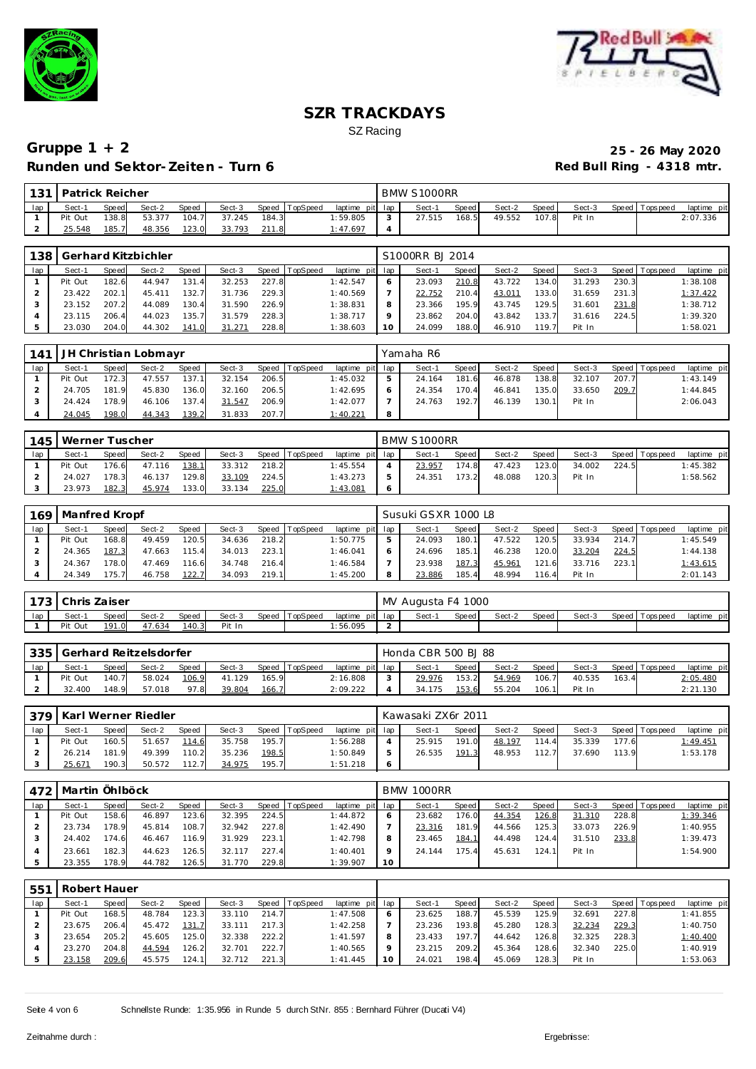



| 101 | Patrick Reicher |              |        |              |        |       |                |                 |   | BMW S1000RR |       |        |       |        |                   |             |
|-----|-----------------|--------------|--------|--------------|--------|-------|----------------|-----------------|---|-------------|-------|--------|-------|--------|-------------------|-------------|
| lap | Sect-1          | <b>Speed</b> | Sect-2 | <b>Speed</b> | Sect-3 |       | Speed TopSpeed | laptime pit lap |   | Sect-1      | Speed | Sect-2 | Speed | Sect-3 | Speed   Tops peed | laptime pit |
|     | Pit Out         | 138.8        | 53.377 | 104.7        | 37.245 | 184.3 |                | 1:59.805        |   | 27.515      | 168.5 | 49.552 | 107.8 | Pit In |                   | 2:07.336    |
|     | 25.548          | 185.7        | 48.356 | 123.0        | 33.793 | 211.8 |                | 1:47.697        | 4 |             |       |        |       |        |                   |             |

| 138 |         |       | Gerhard Kitzbichler |                       |        |       |                |                 |    | S1000RR BJ 2014 |       |        |       |        |       |                 |             |
|-----|---------|-------|---------------------|-----------------------|--------|-------|----------------|-----------------|----|-----------------|-------|--------|-------|--------|-------|-----------------|-------------|
| lap | Sect-1  | Speed | Sect-2              | Speed                 | Sect-3 |       | Speed TopSpeed | laptime pit lap |    | Sect-1          | Speed | Sect-2 | Speed | Sect-3 |       | Speed Tops peed | laptime pit |
|     | Pit Out | 182.6 | 44.947              | 131<br>$\overline{A}$ | 32.253 | 227.8 |                | 1:42.547        |    | 23.093          | 210.8 | 43.722 | 134.0 | 31.293 | 230.3 |                 | 1:38.108    |
|     | 23.422  | 202.1 | 45.411              | 132.7                 | 31.736 | 229.3 |                | 1:40.569        |    | 22.752          | 210.4 | 43.011 | 133.0 | 31.659 | 231.3 |                 | 1:37.422    |
|     | 23.152  | 207.2 | 44.089              | 130.4                 | 31.590 | 226.9 |                | 1:38.831        |    | 23.366          | 195.9 | 43.745 | 129.5 | 31.601 | 231.8 |                 | 1:38.712    |
|     | 23.115  | 206.4 | 44.023              | 135.7                 | 31.579 | 228.3 |                | 1:38.717        |    | 23.862          | 204.0 | 43.842 | 133.7 | 31.616 | 224.5 |                 | 1:39.320    |
|     | 23.030  | 204.0 | 44.302              | 141.0                 | 31.271 | 228.8 |                | 1:38.603        | 10 | 24.099          | 188.0 | 46.910 | 119.7 | Pit In |       |                 | 1:58.021    |

| 141 |         |              | JH Christian Lobmayr |       |        |       |                |                 |   | Yamaha R6 |              |        |       |        |       |                |             |
|-----|---------|--------------|----------------------|-------|--------|-------|----------------|-----------------|---|-----------|--------------|--------|-------|--------|-------|----------------|-------------|
| lap | Sect-1  | <b>Speed</b> | Sect-2               | Speed | Sect-3 |       | Speed TopSpeed | laptime pit lap |   | Sect-1    | <b>Speed</b> | Sect-2 | Speed | Sect-3 |       | Speed Topspeed | laptime pit |
|     | Pit Out | 172.3        | 47.557               | 137.1 | 32.154 | 206.5 |                | 1:45.032        | 5 | 24.164    | 181.6        | 46.878 | 138.8 | 32.107 | 207.7 |                | 1:43.149    |
|     | 24.705  | 181.9        | 45.830               | 136.0 | 32.160 | 206.5 |                | 1:42.695        | 6 | 24.354    | 170.4        | 46.841 | 135.0 | 33.650 | 209.7 |                | 1:44.845    |
|     | 24.424  | 178.9        | 46.106               | 137.4 | 31.547 | 206.9 |                | 1:42.077        |   | 24.763    | 192.7        | 46.139 | 130.1 | Pit In |       |                | 2:06.043    |
|     | 24.045  | 198.0        | 44.343               | 139.2 | 31.833 | 207.7 |                | 1:40.221        | 8 |           |              |        |       |        |       |                |             |

| 145 | I Werner Tuscher |              |        |       |        |       |                |                 | BMW S1000RR |         |        |         |        |       |                   |             |
|-----|------------------|--------------|--------|-------|--------|-------|----------------|-----------------|-------------|---------|--------|---------|--------|-------|-------------------|-------------|
| lap | Sect-1           | <b>Speed</b> | Sect-2 | Speed | Sect-3 |       | Speed TopSpeed | laptime pit lap | Sect-1      | Speed I | Sect-2 | Speed I | Sect-3 |       | Speed   Tops peed | laptime pit |
|     | Pit Out          | 176.6        | 47.116 | 138.1 | 33.312 | 218.2 |                | 1:45.554        | 23.957      | 174.8   | 47.423 | 123.0   | 34.002 | 224.5 |                   | 1:45.382    |
|     | 24.027           | 178.3        | 46.137 | 129.8 | 33.109 | 224.5 |                | 1:43.273        | 24.351      | 173.2   | 48.088 | 120.3   | Pit In |       |                   | 1:58.562    |
|     | 23.973           | 182.3        | 45.974 | 133.0 | 33.134 | 225.0 |                | 1:43.081        |             |         |        |         |        |       |                   |             |

| 169 | Manfred Kropf |              |        |              |        |       |          |                 |   | Susuki GSXR 1000 L8 |       |        |       |        |       |                |             |
|-----|---------------|--------------|--------|--------------|--------|-------|----------|-----------------|---|---------------------|-------|--------|-------|--------|-------|----------------|-------------|
| lap | Sect-1        | <b>Speed</b> | Sect-2 | <b>Speed</b> | Sect-3 | Speed | TopSpeed | laptime pit lap |   | Sect-1              | Speed | Sect-2 | Speed | Sect-3 |       | Speed Topspeed | laptime pit |
|     | Pit Out       | 168.8        | 49.459 | 120.5        | 34.636 | 218.2 |          | 1:50.775        |   | 24.093              | 180.1 | 47.522 | 120.5 | 33.934 | 214.7 |                | 1:45.549    |
|     | 24.365        | 187.3        | 47.663 | 115.4        | 34.013 | 223.1 |          | 1:46.041        |   | 24.696              | 185.1 | 46.238 | 120.0 | 33.204 | 224.5 |                | 1:44.138    |
|     | 24.367        | 178.0        | 47.469 | 116.6        | 34.748 | 216.4 |          | 1:46.584        |   | 23.938              | 187.3 | 45.961 | 121.6 | 33.716 | 223.1 |                | 1:43.615    |
|     | 24.349        | '75.7'       | 46.758 | 122.7        | 34.093 | 219.1 |          | 1:45.200        | 8 | 23.886              | 185.4 | 48.994 | 116.4 | Pit In |       |                | 2:01.143    |

| 170 |         | Chris Zaiser |        |       |        |       |          |                 |        | MV Augusta F4 1000 |       |        |         |        |       |           |                 |
|-----|---------|--------------|--------|-------|--------|-------|----------|-----------------|--------|--------------------|-------|--------|---------|--------|-------|-----------|-----------------|
| lap | Sect-1  | Speed        | Sect-2 | Speed | Sect-3 | Speed | TopSpeed | laptime pit lap |        | Sect-              | Speed | Sect-2 | Speed i | Sect-3 | Speed | Tops peed | pitl<br>laptime |
|     | Pit Out | 191          | 47.634 | 140.3 | Pit In |       |          | : 56.095        | $\sim$ |                    |       |        |         |        |       |           |                 |

| 335 |         |       | Gerhard Reitzelsdorfer |       |        |       |                |                 |   | Honda CBR 500 BJ 88 |       |        |       |        |       |                 |             |
|-----|---------|-------|------------------------|-------|--------|-------|----------------|-----------------|---|---------------------|-------|--------|-------|--------|-------|-----------------|-------------|
| lap | Sect-1  | Speed | Sect-2                 | Speed | Sect-3 |       | Speed TopSpeed | laptime pit lap |   | Sect-1              | Speed | Sect-2 | Speed | Sect-3 |       | Speed Tops peed | laptime pit |
|     | Pit Out | 140.7 | 58.024                 | 106.9 | 41.129 | 165.9 |                | 2:16.808        | っ | 29.976              | 153.2 | 54.969 | 106.7 | 40.535 | 163.4 |                 | 2:05.480    |
|     | 32.400  | 148.9 | 57.018                 | 97.8  | 39.804 | 166.7 |                | 2:09.222        |   | 34.175              | 153.6 | 55.204 | 106.1 | Pit In |       |                 | 2:21.130    |

|     | 379   Karl Werner Riedler |       |        |              |        |       |          |                 |            | Kawasaki ZX6r 2011 |       |        |       |        |       |                   |                 |
|-----|---------------------------|-------|--------|--------------|--------|-------|----------|-----------------|------------|--------------------|-------|--------|-------|--------|-------|-------------------|-----------------|
| lap | Sect-1                    | Speed | Sect-2 | <b>Speed</b> | Sect-3 | Speed | TopSpeed | laptime pit lap |            | Sect-1             | Speed | Sect-2 | Speed | Sect-3 |       | Speed   Tops peed | laptime pit     |
|     | Pit Out                   | 160.5 | 51.657 | 114.6        | 35.758 | 195.7 |          | 1:56.288        |            | 25.915             | 191.0 | 48.197 | 114.4 | 35.339 | 177.6 |                   | <u>1:49.451</u> |
|     | 26.214                    | 181.9 | 49.399 | 110.2        | 35.236 | 198.5 |          | 1:50.849        | ь          | 26.535             | 191.3 | 48.953 | 112.7 | 37.690 | 113.9 |                   | 1:53.178        |
|     | 25.671                    | 190.3 | 50.572 | 112.7        | 34.975 | 195.7 |          | 1:51.218        | $\epsilon$ |                    |       |        |       |        |       |                   |                 |

| 4721 | Martin Öhlböck |              |        |       |        |       |          |             |     | <b>BMW 1000RR</b> |       |        |       |        |       |                 |             |
|------|----------------|--------------|--------|-------|--------|-------|----------|-------------|-----|-------------------|-------|--------|-------|--------|-------|-----------------|-------------|
| lap  | Sect-1         | <b>Speed</b> | Sect-2 | Speed | Sect-3 | Speed | TopSpeed | laptime pit | lap | Sect-1            | Speed | Sect-2 | Speed | Sect-3 |       | Speed Tops peed | laptime pit |
|      | Pit Out        | 158.6        | 46.897 | 123.6 | 32.395 | 224.5 |          | 1:44.872    | 6   | 23.682            | 176.0 | 44.354 | 126.8 | 31.310 | 228.8 |                 | 1:39.346    |
|      | 23.734         | 178.9        | 45.814 | 108.7 | 32.942 | 227.8 |          | 1:42.490    |     | 23.316            | 181.9 | 44.566 | 125.3 | 33.073 | 226.9 |                 | 1:40.955    |
|      | 24.402         | 174.6        | 46.467 | 116.9 | 31.929 | 223.1 |          | 1:42.798    | 8   | 23.465            | 184.1 | 44.498 | 124.4 | 31.510 | 233.8 |                 | 1:39.473    |
|      | 23.661         | 182.3        | 44.623 | 126.5 | 32.117 | 227.4 |          | 1:40.401    | o   | 24.144            | 175.4 | 45.631 | 124.1 | Pit In |       |                 | 1:54.900    |
|      | 23.355         | 178.9        | 44.782 | 126.5 | 31.770 | 229.8 |          | 1:39.907    | 10  |                   |       |        |       |        |       |                 |             |

| 551 | Robert Hauer |       |        |       |        |       |                |                 |              |        |       |        |       |        |       |                 |             |
|-----|--------------|-------|--------|-------|--------|-------|----------------|-----------------|--------------|--------|-------|--------|-------|--------|-------|-----------------|-------------|
| lap | Sect-1       | Speed | Sect-2 | Speed | Sect-3 |       | Speed TopSpeed | laptime pit lap |              | Sect-1 | Speed | Sect-2 | Speed | Sect-3 |       | Speed Tops peed | laptime pit |
|     | Pit Out      | 168.5 | 48.784 | 123.3 | 33.110 | 214.7 |                | 1:47.508        | <sup>6</sup> | 23.625 | 188.7 | 45.539 | 125.9 | 32.691 | 227.8 |                 | 1:41.855    |
|     | 23.675       | 206.4 | 45.472 | 131.7 | 33.111 | 217.3 |                | 1:42.258        |              | 23.236 | 193.8 | 45.280 | 128.3 | 32.234 | 229.3 |                 | 1:40.750    |
|     | 23.654       | 205.2 | 45.605 | 125.0 | 32.338 | 222.2 |                | 1:41.597        | 8            | 23.433 | 197.7 | 44.642 | 126.8 | 32.325 | 228.3 |                 | 1:40.400    |
|     | 23.270       | 204.8 | 44.594 | 126.2 | 32.701 | 222.7 |                | 1:40.565        |              | 23.215 | 209.2 | 45.364 | 128.6 | 32.340 | 225.0 |                 | 1:40.919    |
|     | 23.158       | 209.6 | 45.575 | 124.1 | 32.712 | 221.3 |                | 1: 41.445       | 10           | 24.021 | 198.4 | 45.069 | 128.3 | Pit In |       |                 | 1:53.063    |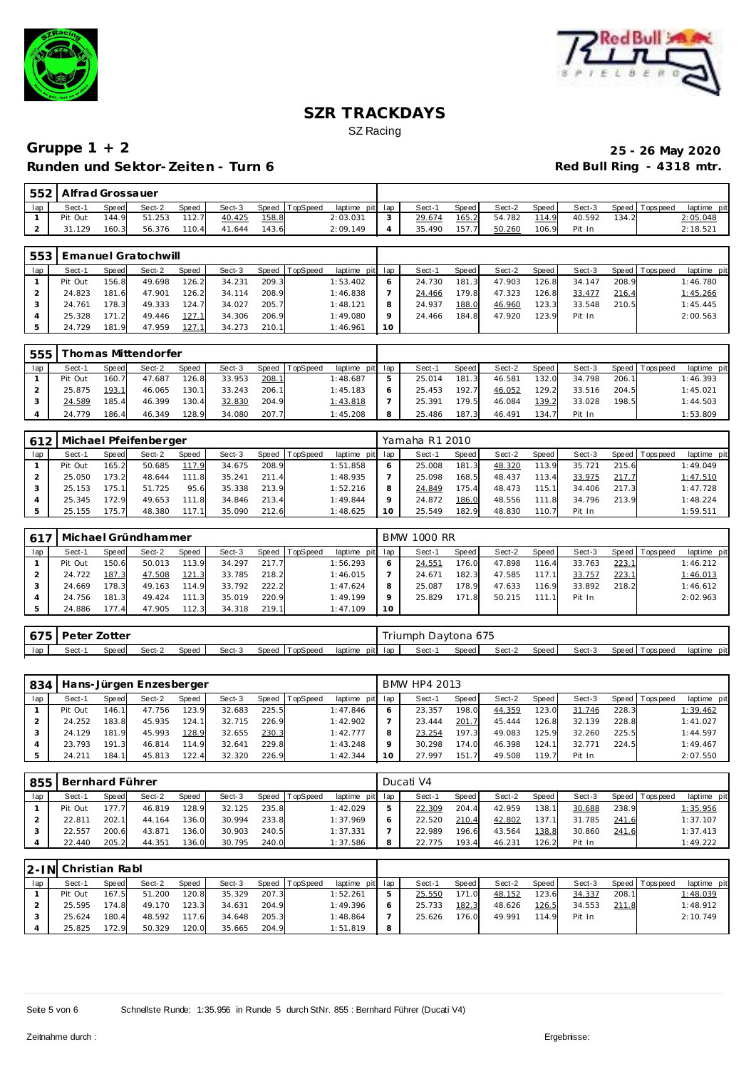



| 552 | Alfrad Grossauer |       |        |       |        |       |                |                 |        |       |        |       |        |       |                   |             |
|-----|------------------|-------|--------|-------|--------|-------|----------------|-----------------|--------|-------|--------|-------|--------|-------|-------------------|-------------|
| lap | Sect-1           | Speed | Sect-2 | Speed | Sect-3 |       | Speed TopSpeed | laptime pit lap | Sect-1 | Speed | Sect-2 | Speed | Sect-3 |       | Speed   Tops peed | laptime pit |
|     | Pit Out          | 144.9 | 51.253 | 112.7 | 40.425 | 158.8 |                | 2:03.031        | 29.674 | 165.2 | 54.782 | 114.9 | 40.592 | 134.2 |                   | 2:05.048    |
|     | .129             | 160.3 | 56.376 | 110.4 | 41.644 | 143.6 |                | 2:09.149        | 35.490 | 157.7 | 50.260 | 106.9 | Pit In |       |                   | 2:18.521    |

| 553 |         |       | Emanuel Gratochwill |       |        |       |                |                 |         |        |              |        |       |        |       |                   |             |
|-----|---------|-------|---------------------|-------|--------|-------|----------------|-----------------|---------|--------|--------------|--------|-------|--------|-------|-------------------|-------------|
| lap | Sect-1  | Speed | Sect-2              | Speed | Sect-3 |       | Speed TopSpeed | laptime pit lap |         | Sect-1 | <b>Speed</b> | Sect-2 | Speed | Sect-3 |       | Speed   Tops peed | laptime pit |
|     | Pit Out | 156.8 | 49.698              | 126.2 | 34.231 | 209.3 |                | : 53.402        |         | 24.730 | 181.3        | 47.903 | 126.8 | 34.147 | 208.9 |                   | 1:46.780    |
|     | 24.823  | 181.6 | 47.901              | 126.2 | 34.114 | 208.9 |                | 1:46.838        |         | 24.466 | 179.8        | 47.323 | 126.8 | 33.477 | 216.4 |                   | 1:45.266    |
|     | 24.761  | 178.3 | 49.333              | 124.7 | 34.027 | 205.7 |                | 1:48.121        | 8       | 24.937 | 188.0        | 46.960 | 123.3 | 33.548 | 210.5 |                   | 1:45.445    |
|     | 25.328  | 171.2 | 49.446              | 127.1 | 34.306 | 206.9 |                | 1:49.080        | $\circ$ | 24.466 | 184.8        | 47.920 | 123.9 | Pit In |       |                   | 2:00.563    |
|     | 24.729  | 181.9 | 47.959              | 127.1 | 34.273 | 210.1 |                | 1:46.961        | 10      |        |              |        |       |        |       |                   |             |

| 555 |         |       | Thomas Mittendorfer |              |        |       |                |                 |        |       |        |       |        |       |                 |             |
|-----|---------|-------|---------------------|--------------|--------|-------|----------------|-----------------|--------|-------|--------|-------|--------|-------|-----------------|-------------|
| lap | Sect-1  | Speed | Sect-2              | <b>Speed</b> | Sect-3 |       | Speed TopSpeed | laptime pit lap | Sect-1 | Speed | Sect-2 | Speed | Sect-3 |       | Speed Tops peed | laptime pit |
|     | Pit Out | 160.7 | 47.687              | 126.8        | 33.953 | 208.  |                | 1:48.687        | 25.014 | 181.3 | 46.581 | 132.0 | 34.798 | 206.1 |                 | 1:46.393    |
|     | 25.875  | 193.  | 46.065              | 130.1        | 33.243 | 206.1 |                | 1:45.183        | 25.453 | 192.7 | 46.052 | 129.2 | 33.516 | 204.5 |                 | 1:45.021    |
|     | 24.589  | 185.4 | 46.399              | 130.4        | 32.830 | 204.9 |                | 1:43.818        | 25.391 | 179.5 | 46.084 | 139.2 | 33.028 | 198.5 |                 | 1:44.503    |
|     | 24.779  | 186.4 | 46.349              | 128.9        | 34.080 | 207.7 |                | 1:45.208        | 25.486 | 187.3 | 46.491 | 134.7 | Pit In |       |                 | 1:53.809    |

| 612 |         |              | Michael Pfeifenberger |              |        |       |                 |                 |   | Yamaha R1 2010 |         |        |           |        |       |                |             |
|-----|---------|--------------|-----------------------|--------------|--------|-------|-----------------|-----------------|---|----------------|---------|--------|-----------|--------|-------|----------------|-------------|
| lap | Sect-1  | <b>Speed</b> | Sect-2                | <b>Speed</b> | Sect-3 | Speed | <b>TopSpeed</b> | laptime pit lap |   | Sect-1         | Speed I | Sect-2 | Speed     | Sect-3 |       | Speed Topspeed | laptime pit |
|     | Pit Out | 165.2        | 50.685                | 117.9        | 34.675 | 208.9 |                 | 1:51.858        | 6 | 25.008         | 181.3   | 48.320 | 113.9     | 35.721 | 215.6 |                | 1:49.049    |
|     | 25.050  | 173.2        | 48.644                | 111.8        | 35.241 | 211.4 |                 | 1:48.935        |   | 25.098         | 168.5   | 48.437 | 113.4     | 33.975 | 217.7 |                | 1:47.510    |
|     | 25.153  | 175.1        | 51.725                | 95.6         | 35.338 | 213.9 |                 | 1:52.216        |   | 24.849         | 175.4   | 48.473 | 115.1     | 34.406 | 217.3 |                | 1:47.728    |
|     | 25.345  | 172.9        | 49.653                | 111.8        | 34.846 | 213.4 |                 | 1:49.844        |   | 24.872         | 186.0   | 48.556 | 111<br>-8 | 34.796 | 213.9 |                | 1:48.224    |
|     | 25.155  | 175.7        | 48.380                | 117.1        | 35.090 | 212.6 |                 | 1:48.625        |   | 25.549         | 182.9   | 48.830 | 110.7     | Pit In |       |                | 1:59.511    |

| 617 |         |       | Michael Gründhammer |       |        |       |          |                 |    | <b>BMW 1000 RR</b> |       |        |       |        |       |                |             |
|-----|---------|-------|---------------------|-------|--------|-------|----------|-----------------|----|--------------------|-------|--------|-------|--------|-------|----------------|-------------|
| lap | Sect-1  | Speed | Sect-2              | Speed | Sect-3 | Speed | TopSpeed | laptime pit lap |    | Sect-1             | Speed | Sect-2 | Speed | Sect-3 |       | Speed Topspeed | laptime pit |
|     | Pit Out | 150.6 | 50.013              | 113.9 | 34.297 | 217.7 |          | 1:56.293        |    | 24.551             | 176.0 | 47.898 | 116.4 | 33.763 | 223.1 |                | 1:46.212    |
|     | 24.722  | 187.3 | 47.508              | 121.3 | 33.785 | 218.2 |          | 1:46.015        |    | 24.671             | 182.3 | 47.585 | 117.1 | 33.757 | 223.1 |                | 1:46.013    |
|     | 24.669  | 178.3 | 49.163              | 114.9 | 33.792 | 222.2 |          | 1:47.624        | 8  | 25.087             | 178.9 | 47.633 | 116.9 | 33.892 | 218.2 |                | 1:46.612    |
|     | 24.756  | 181.3 | 49.424              | 111.3 | 35.019 | 220.9 |          | 1:49.199        |    | 25.829             | 171.8 | 50.215 | 111.1 | Pit In |       |                | 2:02.963    |
|     | 24.886  | 177.4 | 47.905              | 112.3 | 34.318 | 219.1 |          | 1:47.109        | 10 |                    |       |        |       |        |       |                |             |

|     | 675   Peter Zotter |       |        |       |        |                |                 | Triumph Daytona 675 |       |        |       |        |                |             |
|-----|--------------------|-------|--------|-------|--------|----------------|-----------------|---------------------|-------|--------|-------|--------|----------------|-------------|
| lap | Sect-1             | Speed | Sect-2 | Speed | Sect-3 | Speed TopSpeed | laptime pit lap | Sect-               | Speed | Sect-2 | Speed | Sect-3 | Speed Topspeed | laptime pit |

| 834 |         |              | Hans-Jürgen Enzesberger |              |        |       |          |             |     | BMW HP4 2013 |              |        |       |        |       |                |             |
|-----|---------|--------------|-------------------------|--------------|--------|-------|----------|-------------|-----|--------------|--------------|--------|-------|--------|-------|----------------|-------------|
| lap | Sect-1  | <b>Speed</b> | Sect-2                  | <b>Speed</b> | Sect-3 | Speed | TopSpeed | laptime pit | lap | Sect-1       | <b>Speed</b> | Sect-2 | Speed | Sect-3 |       | Speed Topspeed | laptime pit |
|     | Pit Out | 146.1        | 47.756                  | 123.9        | 32.683 | 225.5 |          | 1:47.846    | 6   | 23.357       | 198.0        | 44.359 | 123.0 | 31.746 | 228.3 |                | 1:39.462    |
|     | 24.252  | 183.8        | 45.935                  | 124.1        | 32.715 | 226.9 |          | 1:42.902    |     | 23.444       | 201.7        | 45.444 | 126.8 | 32.139 | 228.8 |                | 1:41.027    |
|     | 24.129  | 181.9        | 45.993                  | 128.9        | 32.655 | 230.3 |          | 1:42.777    | 8   | 23.254       | 197.3        | 49.083 | 125.9 | 32.260 | 225.5 |                | 1:44.597    |
|     | 23.793  | 191.3        | 46.814                  | 114.9        | 32.641 | 229.8 |          | 1:43.248    | Q   | 30.298       | 174.0        | 46.398 | 124.1 | 32.771 | 224.5 |                | 1:49.467    |
|     | 24.211  | 184.1        | 45.813                  | 122.4        | 32.320 | 226.9 |          | 1:42.344    | 10  | 27.997       | 151.7        | 49.508 | 119.7 | Pit In |       |                | 2:07.550    |

| 855 | Bernhard Führer |              |        |              |        |       |          |             |     | Ducati V4 |              |        |       |        |       |                 |             |
|-----|-----------------|--------------|--------|--------------|--------|-------|----------|-------------|-----|-----------|--------------|--------|-------|--------|-------|-----------------|-------------|
| lap | Sect-1          | <b>Speed</b> | Sect-2 | <b>Speed</b> | Sect-3 | Speed | TopSpeed | laptime pit | lap | Sect-1    | <b>Speed</b> | Sect-2 | Speed | Sect-3 |       | Speed Tops peed | laptime pit |
|     | Pit Out         | 177.7        | 46.819 | 128.9        | 32.125 | 235.8 |          | 1:42.029    | ь   | 22.309    | 204.4        | 42.959 | 138.1 | 30.688 | 238.9 |                 | 1:35.956    |
|     | 22.811          | 202.1        | 44.164 | 136.0        | 30.994 | 233.8 |          | 1:37.969    | O   | 22.520    | 210.4        | 42.802 | 137.1 | 31.785 | 241.6 |                 | 1:37.107    |
|     | 22.557          | 200.6        | 43.871 | 136.0        | 30.903 | 240.5 |          | 1:37.331    |     | 22.989    | 196.6        | 43.564 | 138.8 | 30.860 | 241.6 |                 | 1:37.413    |
|     | 22.440          | 205.2        | 44.351 | 136.0        | 30.795 | 240.0 |          | 1:37.586    | 8   | 22.775    | 193.4        | 46.231 | 126.2 | Pit In |       |                 | 1:49.222    |

|     | 2-IN Christian Rabl |              |        |              |        |       |                |                 |   |        |         |        |       |        |       |                 |             |
|-----|---------------------|--------------|--------|--------------|--------|-------|----------------|-----------------|---|--------|---------|--------|-------|--------|-------|-----------------|-------------|
| lap | Sect-1              | <b>Speed</b> | Sect-2 | <b>Speed</b> | Sect-3 |       | Speed TopSpeed | laptime pit lap |   | Sect-1 | Speed I | Sect-2 | Speed | Sect-3 |       | Speed Tops peed | laptime pit |
|     | Pit Out             | 167.5        | 51.200 | 120.8        | 35.329 | 207.3 |                | 1:52.261        | 5 | 25.550 | 171.0   | 48.152 | 123.6 | 34.337 | 208.1 |                 | 1:48.039    |
|     | 25.595              | 174.8        | 49.170 | 123.3        | 34.631 | 204.9 |                | 1:49.396        |   | 25.733 | 182.3   | 48.626 | 126.5 | 34.553 | 211.8 |                 | 1:48.912    |
|     | 25.624              | 180.4        | 48.592 | 117.6        | 34.648 | 205.3 |                | 1:48.864        |   | 25.626 | 176.0   | 49.991 | 114.9 | Pit In |       |                 | 2:10.749    |
|     | 25.825              | 172.9        | 50.329 | 120.0        | 35.665 | 204.9 |                | 1:51.819        | 8 |        |         |        |       |        |       |                 |             |